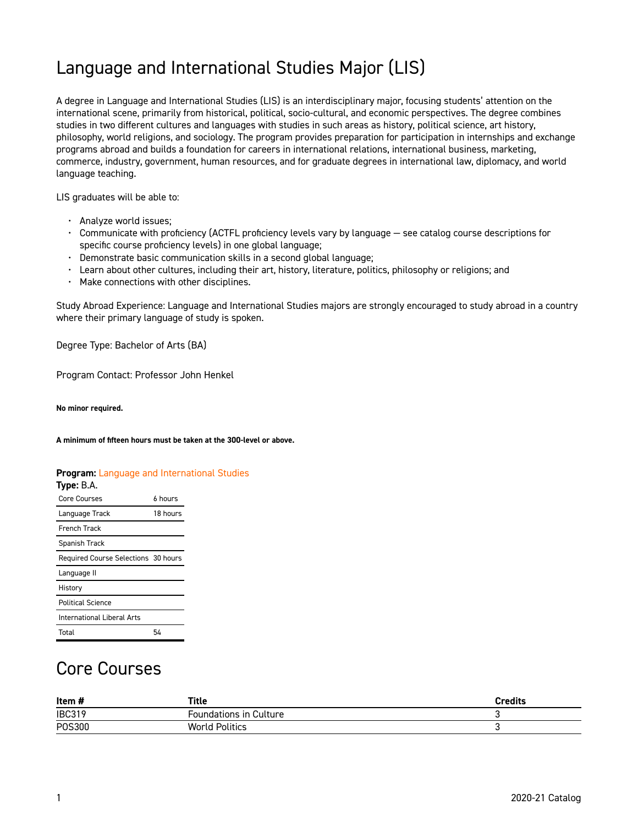## Language and International Studies Major (LIS)

A degree in Language and International Studies (LIS) is an interdisciplinary major, focusing students' attention on the international scene, primarily from historical, political, socio-cultural, and economic perspectives. The degree combines studies in two different cultures and languages with studies in such areas as history, political science, art history, philosophy, world religions, and sociology. The program provides preparation for participation in internships and exchange programs abroad and builds a foundation for careers in international relations, international business, marketing, commerce, industry, government, human resources, and for graduate degrees in international law, diplomacy, and world language teaching.

LIS graduates will be able to:

- Analyze world issues;
- Communicate with proficiency (ACTFL proficiency levels vary by language see catalog course descriptions for specific course proficiency levels) in one global language;
- Demonstrate basic communication skills in a second global language;
- Learn about other cultures, including their art, history, literature, politics, philosophy or religions; and
- Make connections with other disciplines.

Study Abroad Experience: Language and International Studies majors are strongly encouraged to study abroad in a country where their primary language of study is spoken.

Degree Type: Bachelor of Arts (BA)

Program Contact: Professor John Henkel

**No minor required.** 

**A minimum of fifteen hours must be taken at the 300-level or above.** 

**Program:** [Language and International Studies](https://catalog.georgetowncollege.edu/language-and-international-studies)

| Type: B.A.                          |          |
|-------------------------------------|----------|
| Core Courses                        | 6 hours  |
| Language Track                      | 18 hours |
| <b>French Track</b>                 |          |
| Spanish Track                       |          |
| Required Course Selections 30 hours |          |
| Language II                         |          |
| History                             |          |
| <b>Political Science</b>            |          |
| International Liberal Arts          |          |
| Total                               | 54       |

#### Core Courses

| Item#         | Title                         | <b>Credits</b> |
|---------------|-------------------------------|----------------|
| <b>IBC319</b> | <b>Foundations in Culture</b> |                |
| P0S300        | <b>World Politics</b>         |                |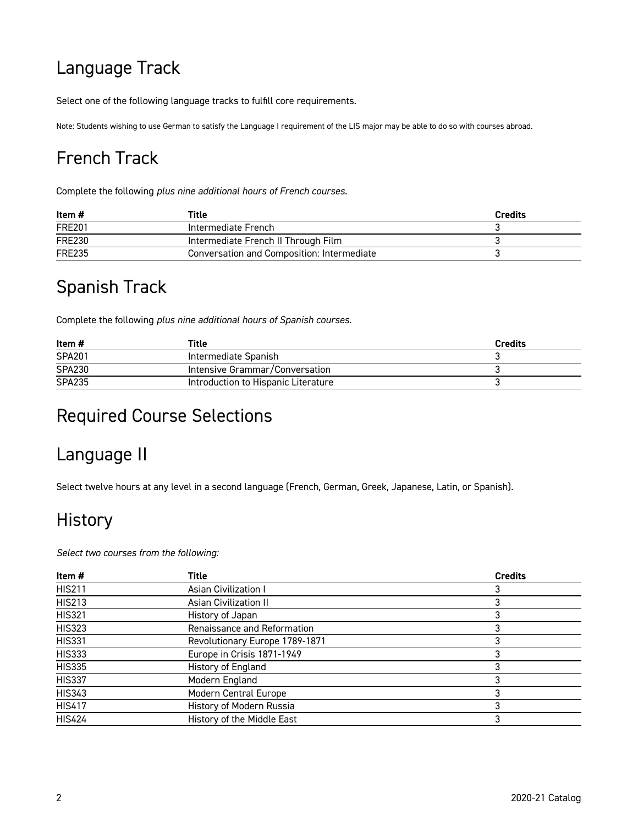# Language Track

Select one of the following language tracks to fulfill core requirements.

Note: Students wishing to use German to satisfy the Language I requirement of the LIS major may be able to do so with courses abroad.

## French Track

Complete the following *plus nine additional hours of French courses.*

| Item #        | Title                                      | <b>Credits</b> |
|---------------|--------------------------------------------|----------------|
| <b>FRE201</b> | Intermediate French                        |                |
| <b>FRE230</b> | Intermediate French II Through Film        |                |
| <b>FRE235</b> | Conversation and Composition: Intermediate |                |

### Spanish Track

Complete the following *plus nine additional hours of Spanish courses.*

| Item #        | Title                               | <b>Credits</b> |
|---------------|-------------------------------------|----------------|
| <b>SPA201</b> | Intermediate Spanish                |                |
| <b>SPA230</b> | Intensive Grammar/Conversation      |                |
| <b>SPA235</b> | Introduction to Hispanic Literature |                |

#### Required Course Selections

#### Language II

Select twelve hours at any level in a second language (French, German, Greek, Japanese, Latin, or Spanish).

#### **History**

*Select two courses from the following:* 

| Item #        | Title                          | <b>Credits</b> |
|---------------|--------------------------------|----------------|
| <b>HIS211</b> | <b>Asian Civilization I</b>    | 3              |
| <b>HIS213</b> | <b>Asian Civilization II</b>   |                |
| <b>HIS321</b> | History of Japan               | 3              |
| <b>HIS323</b> | Renaissance and Reformation    | 3              |
| <b>HIS331</b> | Revolutionary Europe 1789-1871 | 3              |
| <b>HIS333</b> | Europe in Crisis 1871-1949     | 3              |
| <b>HIS335</b> | History of England             | 3              |
| <b>HIS337</b> | Modern England                 | 3              |
| <b>HIS343</b> | Modern Central Europe          | 3              |
| <b>HIS417</b> | History of Modern Russia       | 3              |
| <b>HIS424</b> | History of the Middle East     | 3              |